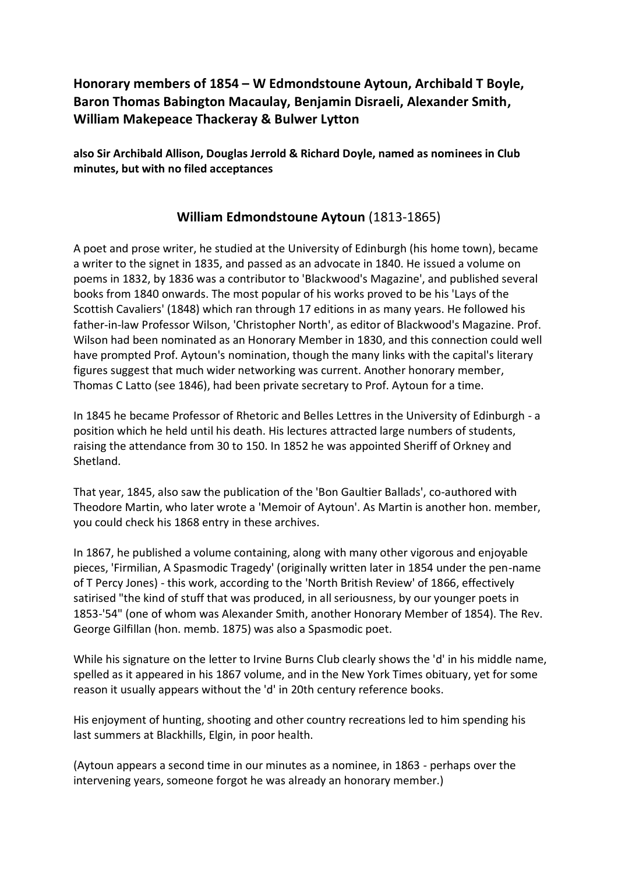# **Honorary members of 1854 – W Edmondstoune Aytoun, Archibald T Boyle, Baron Thomas Babington Macaulay, Benjamin Disraeli, Alexander Smith, William Makepeace Thackeray & Bulwer Lytton**

**also Sir Archibald Allison, Douglas Jerrold & Richard Doyle, named as nominees in Club minutes, but with no filed acceptances**

# **William Edmondstoune Aytoun** (1813-1865)

A poet and prose writer, he studied at the University of Edinburgh (his home town), became a writer to the signet in 1835, and passed as an advocate in 1840. He issued a volume on poems in 1832, by 1836 was a contributor to 'Blackwood's Magazine', and published several books from 1840 onwards. The most popular of his works proved to be his 'Lays of the Scottish Cavaliers' (1848) which ran through 17 editions in as many years. He followed his father-in-law Professor Wilson, 'Christopher North', as editor of Blackwood's Magazine. Prof. Wilson had been nominated as an Honorary Member in 1830, and this connection could well have prompted Prof. Aytoun's nomination, though the many links with the capital's literary figures suggest that much wider networking was current. Another honorary member, Thomas C Latto (see 1846), had been private secretary to Prof. Aytoun for a time.

In 1845 he became Professor of Rhetoric and Belles Lettres in the University of Edinburgh - a position which he held until his death. His lectures attracted large numbers of students, raising the attendance from 30 to 150. In 1852 he was appointed Sheriff of Orkney and Shetland.

That year, 1845, also saw the publication of the 'Bon Gaultier Ballads', co-authored with Theodore Martin, who later wrote a 'Memoir of Aytoun'. As Martin is another hon. member, you could check his 1868 entry in these archives.

In 1867, he published a volume containing, along with many other vigorous and enjoyable pieces, 'Firmilian, A Spasmodic Tragedy' (originally written later in 1854 under the pen-name of T Percy Jones) - this work, according to the 'North British Review' of 1866, effectively satirised "the kind of stuff that was produced, in all seriousness, by our younger poets in 1853-'54" (one of whom was Alexander Smith, another Honorary Member of 1854). The Rev. George Gilfillan (hon. memb. 1875) was also a Spasmodic poet.

While his signature on the letter to Irvine Burns Club clearly shows the 'd' in his middle name, spelled as it appeared in his 1867 volume, and in the New York Times obituary, yet for some reason it usually appears without the 'd' in 20th century reference books.

His enjoyment of hunting, shooting and other country recreations led to him spending his last summers at Blackhills, Elgin, in poor health.

(Aytoun appears a second time in our minutes as a nominee, in 1863 - perhaps over the intervening years, someone forgot he was already an honorary member.)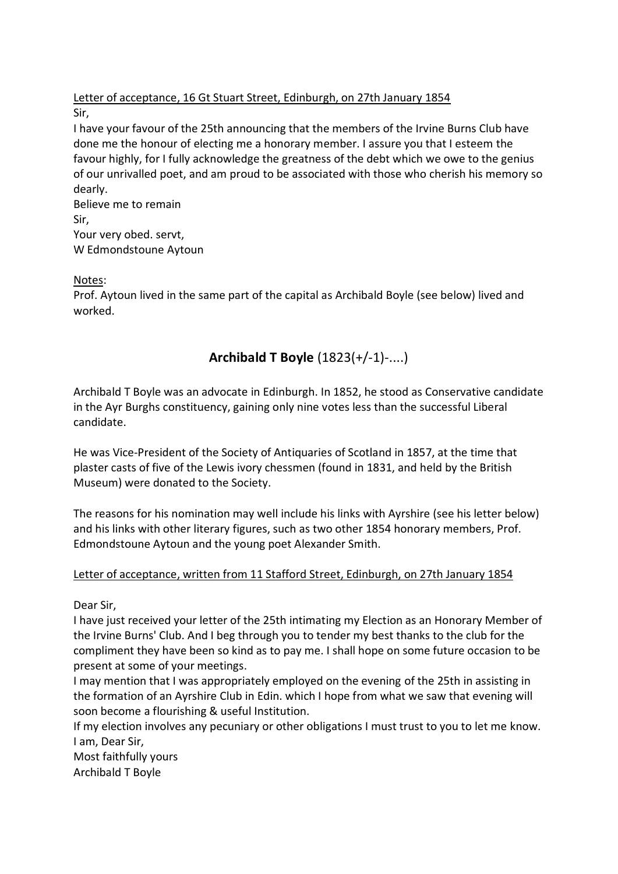Letter of acceptance, 16 Gt Stuart Street, Edinburgh, on 27th January 1854 Sir,

I have your favour of the 25th announcing that the members of the Irvine Burns Club have done me the honour of electing me a honorary member. I assure you that I esteem the favour highly, for I fully acknowledge the greatness of the debt which we owe to the genius of our unrivalled poet, and am proud to be associated with those who cherish his memory so dearly.

Believe me to remain Sir, Your very obed. servt, W Edmondstoune Aytoun

Notes:

Prof. Aytoun lived in the same part of the capital as Archibald Boyle (see below) lived and worked.

# **Archibald T Boyle** (1823(+/-1)-....)

Archibald T Boyle was an advocate in Edinburgh. In 1852, he stood as Conservative candidate in the Ayr Burghs constituency, gaining only nine votes less than the successful Liberal candidate.

He was Vice-President of the Society of Antiquaries of Scotland in 1857, at the time that plaster casts of five of the Lewis ivory chessmen (found in 1831, and held by the British Museum) were donated to the Society.

The reasons for his nomination may well include his links with Ayrshire (see his letter below) and his links with other literary figures, such as two other 1854 honorary members, Prof. Edmondstoune Aytoun and the young poet Alexander Smith.

### Letter of acceptance, written from 11 Stafford Street, Edinburgh, on 27th January 1854

Dear Sir,

I have just received your letter of the 25th intimating my Election as an Honorary Member of the Irvine Burns' Club. And I beg through you to tender my best thanks to the club for the compliment they have been so kind as to pay me. I shall hope on some future occasion to be present at some of your meetings.

I may mention that I was appropriately employed on the evening of the 25th in assisting in the formation of an Ayrshire Club in Edin. which I hope from what we saw that evening will soon become a flourishing & useful Institution.

If my election involves any pecuniary or other obligations I must trust to you to let me know. I am, Dear Sir,

Most faithfully yours Archibald T Boyle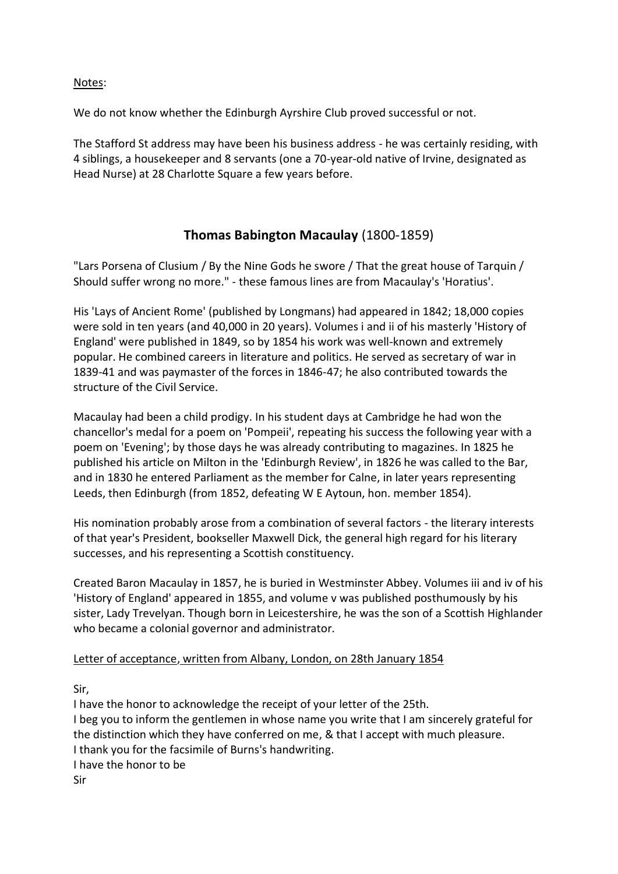Notes:

We do not know whether the Edinburgh Ayrshire Club proved successful or not.

The Stafford St address may have been his business address - he was certainly residing, with 4 siblings, a housekeeper and 8 servants (one a 70-year-old native of Irvine, designated as Head Nurse) at 28 Charlotte Square a few years before.

# **Thomas Babington Macaulay** (1800-1859)

"Lars Porsena of Clusium / By the Nine Gods he swore / That the great house of Tarquin / Should suffer wrong no more." - these famous lines are from Macaulay's 'Horatius'.

His 'Lays of Ancient Rome' (published by Longmans) had appeared in 1842; 18,000 copies were sold in ten years (and 40,000 in 20 years). Volumes i and ii of his masterly 'History of England' were published in 1849, so by 1854 his work was well-known and extremely popular. He combined careers in literature and politics. He served as secretary of war in 1839-41 and was paymaster of the forces in 1846-47; he also contributed towards the structure of the Civil Service.

Macaulay had been a child prodigy. In his student days at Cambridge he had won the chancellor's medal for a poem on 'Pompeii', repeating his success the following year with a poem on 'Evening'; by those days he was already contributing to magazines. In 1825 he published his article on Milton in the 'Edinburgh Review', in 1826 he was called to the Bar, and in 1830 he entered Parliament as the member for Calne, in later years representing Leeds, then Edinburgh (from 1852, defeating W E Aytoun, hon. member 1854).

His nomination probably arose from a combination of several factors - the literary interests of that year's President, bookseller Maxwell Dick, the general high regard for his literary successes, and his representing a Scottish constituency.

Created Baron Macaulay in 1857, he is buried in Westminster Abbey. Volumes iii and iv of his 'History of England' appeared in 1855, and volume v was published posthumously by his sister, Lady Trevelyan. Though born in Leicestershire, he was the son of a Scottish Highlander who became a colonial governor and administrator.

### Letter of acceptance, written from Albany, London, on 28th January 1854

Sir,

I have the honor to acknowledge the receipt of your letter of the 25th. I beg you to inform the gentlemen in whose name you write that I am sincerely grateful for the distinction which they have conferred on me, & that I accept with much pleasure. I thank you for the facsimile of Burns's handwriting. I have the honor to be Sir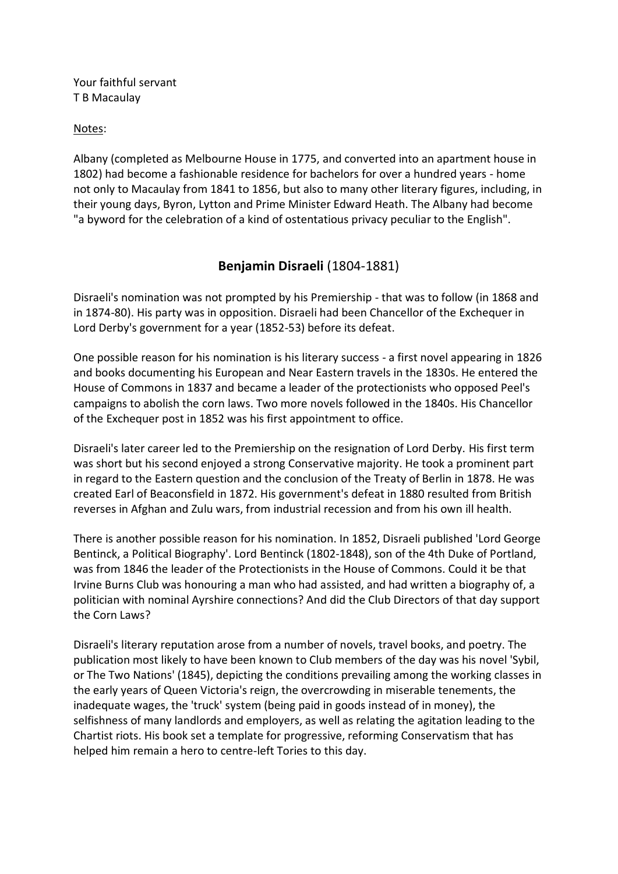Your faithful servant T B Macaulay

#### Notes:

Albany (completed as Melbourne House in 1775, and converted into an apartment house in 1802) had become a fashionable residence for bachelors for over a hundred years - home not only to Macaulay from 1841 to 1856, but also to many other literary figures, including, in their young days, Byron, Lytton and Prime Minister Edward Heath. The Albany had become "a byword for the celebration of a kind of ostentatious privacy peculiar to the English".

# **Benjamin Disraeli** (1804-1881)

Disraeli's nomination was not prompted by his Premiership - that was to follow (in 1868 and in 1874-80). His party was in opposition. Disraeli had been Chancellor of the Exchequer in Lord Derby's government for a year (1852-53) before its defeat.

One possible reason for his nomination is his literary success - a first novel appearing in 1826 and books documenting his European and Near Eastern travels in the 1830s. He entered the House of Commons in 1837 and became a leader of the protectionists who opposed Peel's campaigns to abolish the corn laws. Two more novels followed in the 1840s. His Chancellor of the Exchequer post in 1852 was his first appointment to office.

Disraeli's later career led to the Premiership on the resignation of Lord Derby. His first term was short but his second enjoyed a strong Conservative majority. He took a prominent part in regard to the Eastern question and the conclusion of the Treaty of Berlin in 1878. He was created Earl of Beaconsfield in 1872. His government's defeat in 1880 resulted from British reverses in Afghan and Zulu wars, from industrial recession and from his own ill health.

There is another possible reason for his nomination. In 1852, Disraeli published 'Lord George Bentinck, a Political Biography'. Lord Bentinck (1802-1848), son of the 4th Duke of Portland, was from 1846 the leader of the Protectionists in the House of Commons. Could it be that Irvine Burns Club was honouring a man who had assisted, and had written a biography of, a politician with nominal Ayrshire connections? And did the Club Directors of that day support the Corn Laws?

Disraeli's literary reputation arose from a number of novels, travel books, and poetry. The publication most likely to have been known to Club members of the day was his novel 'Sybil, or The Two Nations' (1845), depicting the conditions prevailing among the working classes in the early years of Queen Victoria's reign, the overcrowding in miserable tenements, the inadequate wages, the 'truck' system (being paid in goods instead of in money), the selfishness of many landlords and employers, as well as relating the agitation leading to the Chartist riots. His book set a template for progressive, reforming Conservatism that has helped him remain a hero to centre-left Tories to this day.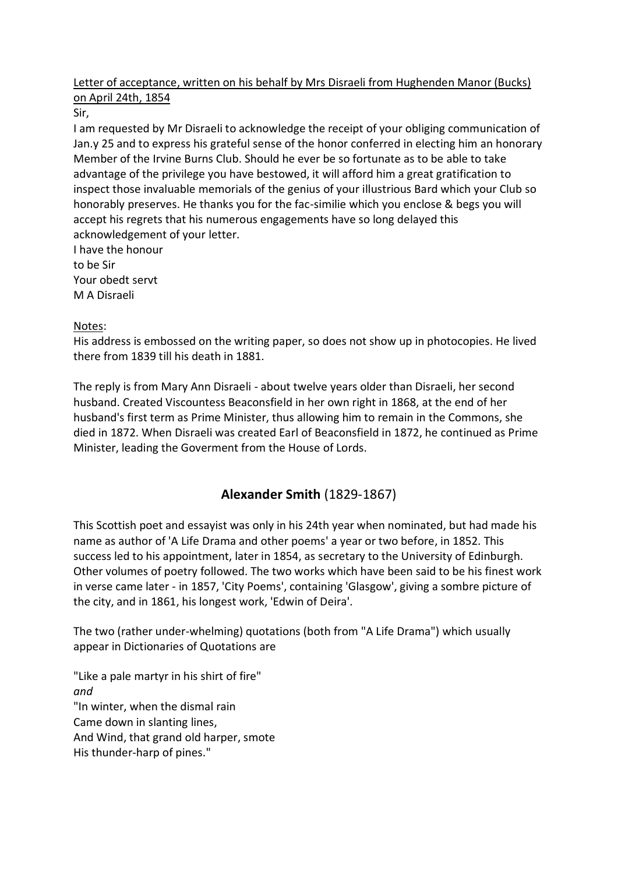## Letter of acceptance, written on his behalf by Mrs Disraeli from Hughenden Manor (Bucks) on April 24th, 1854

Sir,

I am requested by Mr Disraeli to acknowledge the receipt of your obliging communication of Jan.y 25 and to express his grateful sense of the honor conferred in electing him an honorary Member of the Irvine Burns Club. Should he ever be so fortunate as to be able to take advantage of the privilege you have bestowed, it will afford him a great gratification to inspect those invaluable memorials of the genius of your illustrious Bard which your Club so honorably preserves. He thanks you for the fac-similie which you enclose & begs you will accept his regrets that his numerous engagements have so long delayed this acknowledgement of your letter.

I have the honour to be Sir Your obedt servt M A Disraeli

# Notes:

His address is embossed on the writing paper, so does not show up in photocopies. He lived there from 1839 till his death in 1881.

The reply is from Mary Ann Disraeli - about twelve years older than Disraeli, her second husband. Created Viscountess Beaconsfield in her own right in 1868, at the end of her husband's first term as Prime Minister, thus allowing him to remain in the Commons, she died in 1872. When Disraeli was created Earl of Beaconsfield in 1872, he continued as Prime Minister, leading the Goverment from the House of Lords.

# **Alexander Smith** (1829-1867)

This Scottish poet and essayist was only in his 24th year when nominated, but had made his name as author of 'A Life Drama and other poems' a year or two before, in 1852. This success led to his appointment, later in 1854, as secretary to the University of Edinburgh. Other volumes of poetry followed. The two works which have been said to be his finest work in verse came later - in 1857, 'City Poems', containing 'Glasgow', giving a sombre picture of the city, and in 1861, his longest work, 'Edwin of Deira'.

The two (rather under-whelming) quotations (both from "A Life Drama") which usually appear in Dictionaries of Quotations are

"Like a pale martyr in his shirt of fire" *and* "In winter, when the dismal rain Came down in slanting lines, And Wind, that grand old harper, smote His thunder-harp of pines."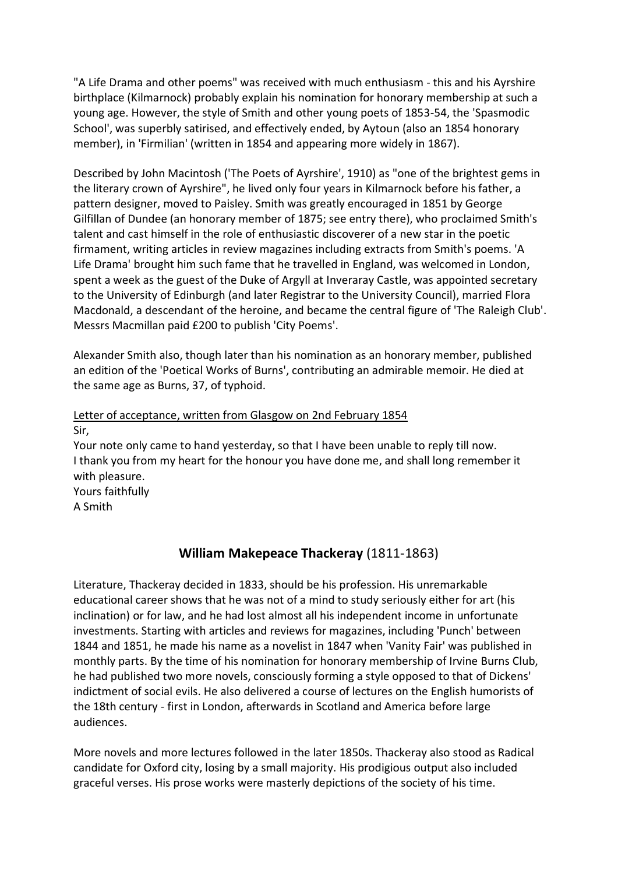"A Life Drama and other poems" was received with much enthusiasm - this and his Ayrshire birthplace (Kilmarnock) probably explain his nomination for honorary membership at such a young age. However, the style of Smith and other young poets of 1853-54, the 'Spasmodic School', was superbly satirised, and effectively ended, by Aytoun (also an 1854 honorary member), in 'Firmilian' (written in 1854 and appearing more widely in 1867).

Described by John Macintosh ('The Poets of Ayrshire', 1910) as "one of the brightest gems in the literary crown of Ayrshire", he lived only four years in Kilmarnock before his father, a pattern designer, moved to Paisley. Smith was greatly encouraged in 1851 by George Gilfillan of Dundee (an honorary member of 1875; see entry there), who proclaimed Smith's talent and cast himself in the role of enthusiastic discoverer of a new star in the poetic firmament, writing articles in review magazines including extracts from Smith's poems. 'A Life Drama' brought him such fame that he travelled in England, was welcomed in London, spent a week as the guest of the Duke of Argyll at Inveraray Castle, was appointed secretary to the University of Edinburgh (and later Registrar to the University Council), married Flora Macdonald, a descendant of the heroine, and became the central figure of 'The Raleigh Club'. Messrs Macmillan paid £200 to publish 'City Poems'.

Alexander Smith also, though later than his nomination as an honorary member, published an edition of the 'Poetical Works of Burns', contributing an admirable memoir. He died at the same age as Burns, 37, of typhoid.

### Letter of acceptance, written from Glasgow on 2nd February 1854 Sir,

Your note only came to hand yesterday, so that I have been unable to reply till now. I thank you from my heart for the honour you have done me, and shall long remember it with pleasure. Yours faithfully A Smith

# **William Makepeace Thackeray** (1811-1863)

Literature, Thackeray decided in 1833, should be his profession. His unremarkable educational career shows that he was not of a mind to study seriously either for art (his inclination) or for law, and he had lost almost all his independent income in unfortunate investments. Starting with articles and reviews for magazines, including 'Punch' between 1844 and 1851, he made his name as a novelist in 1847 when 'Vanity Fair' was published in monthly parts. By the time of his nomination for honorary membership of Irvine Burns Club, he had published two more novels, consciously forming a style opposed to that of Dickens' indictment of social evils. He also delivered a course of lectures on the English humorists of the 18th century - first in London, afterwards in Scotland and America before large audiences.

More novels and more lectures followed in the later 1850s. Thackeray also stood as Radical candidate for Oxford city, losing by a small majority. His prodigious output also included graceful verses. His prose works were masterly depictions of the society of his time.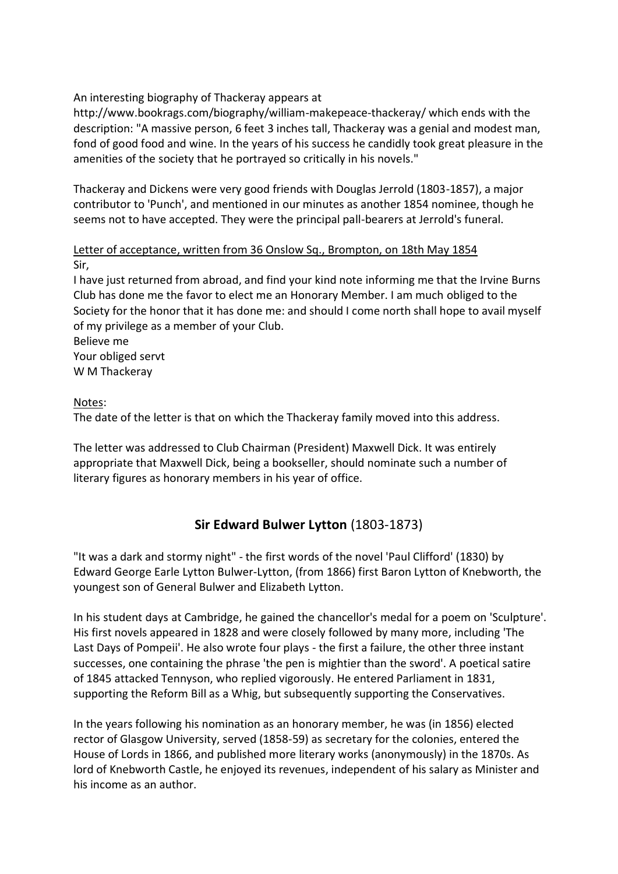An interesting biography of Thackeray appears at

http://www.bookrags.com/biography/william-makepeace-thackeray/ which ends with the description: "A massive person, 6 feet 3 inches tall, Thackeray was a genial and modest man, fond of good food and wine. In the years of his success he candidly took great pleasure in the amenities of the society that he portrayed so critically in his novels."

Thackeray and Dickens were very good friends with Douglas Jerrold (1803-1857), a major contributor to 'Punch', and mentioned in our minutes as another 1854 nominee, though he seems not to have accepted. They were the principal pall-bearers at Jerrold's funeral.

#### Letter of acceptance, written from 36 Onslow Sq., Brompton, on 18th May 1854 Sir,

I have just returned from abroad, and find your kind note informing me that the Irvine Burns Club has done me the favor to elect me an Honorary Member. I am much obliged to the Society for the honor that it has done me: and should I come north shall hope to avail myself of my privilege as a member of your Club.

Believe me Your obliged servt W M Thackeray

## Notes:

The date of the letter is that on which the Thackeray family moved into this address.

The letter was addressed to Club Chairman (President) Maxwell Dick. It was entirely appropriate that Maxwell Dick, being a bookseller, should nominate such a number of literary figures as honorary members in his year of office.

## **Sir Edward Bulwer Lytton** (1803-1873)

"It was a dark and stormy night" - the first words of the novel 'Paul Clifford' (1830) by Edward George Earle Lytton Bulwer-Lytton, (from 1866) first Baron Lytton of Knebworth, the youngest son of General Bulwer and Elizabeth Lytton.

In his student days at Cambridge, he gained the chancellor's medal for a poem on 'Sculpture'. His first novels appeared in 1828 and were closely followed by many more, including 'The Last Days of Pompeii'. He also wrote four plays - the first a failure, the other three instant successes, one containing the phrase 'the pen is mightier than the sword'. A poetical satire of 1845 attacked Tennyson, who replied vigorously. He entered Parliament in 1831, supporting the Reform Bill as a Whig, but subsequently supporting the Conservatives.

In the years following his nomination as an honorary member, he was (in 1856) elected rector of Glasgow University, served (1858-59) as secretary for the colonies, entered the House of Lords in 1866, and published more literary works (anonymously) in the 1870s. As lord of Knebworth Castle, he enjoyed its revenues, independent of his salary as Minister and his income as an author.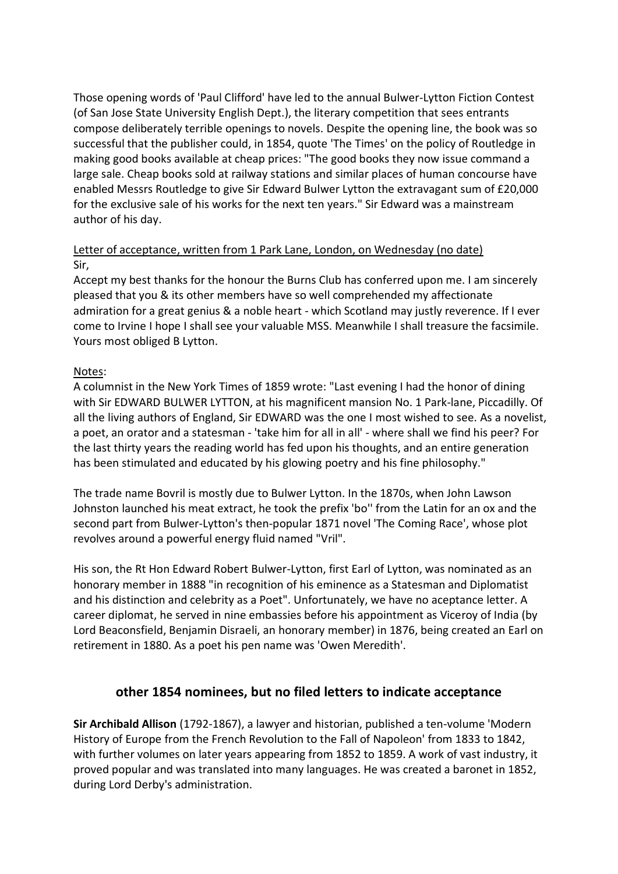Those opening words of 'Paul Clifford' have led to the annual Bulwer-Lytton Fiction Contest (of San Jose State University English Dept.), the literary competition that sees entrants compose deliberately terrible openings to novels. Despite the opening line, the book was so successful that the publisher could, in 1854, quote 'The Times' on the policy of Routledge in making good books available at cheap prices: "The good books they now issue command a large sale. Cheap books sold at railway stations and similar places of human concourse have enabled Messrs Routledge to give Sir Edward Bulwer Lytton the extravagant sum of £20,000 for the exclusive sale of his works for the next ten years." Sir Edward was a mainstream author of his day.

### Letter of acceptance, written from 1 Park Lane, London, on Wednesday (no date) Sir,

Accept my best thanks for the honour the Burns Club has conferred upon me. I am sincerely pleased that you & its other members have so well comprehended my affectionate admiration for a great genius & a noble heart - which Scotland may justly reverence. If I ever come to Irvine I hope I shall see your valuable MSS. Meanwhile I shall treasure the facsimile. Yours most obliged B Lytton.

## Notes:

A columnist in the New York Times of 1859 wrote: "Last evening I had the honor of dining with Sir EDWARD BULWER LYTTON, at his magnificent mansion No. 1 Park-lane, Piccadilly. Of all the living authors of England, Sir EDWARD was the one I most wished to see. As a novelist, a poet, an orator and a statesman - 'take him for all in all' - where shall we find his peer? For the last thirty years the reading world has fed upon his thoughts, and an entire generation has been stimulated and educated by his glowing poetry and his fine philosophy."

The trade name Bovril is mostly due to Bulwer Lytton. In the 1870s, when John Lawson Johnston launched his meat extract, he took the prefix 'bo'' from the Latin for an ox and the second part from Bulwer-Lytton's then-popular 1871 novel 'The Coming Race', whose plot revolves around a powerful energy fluid named "Vril".

His son, the Rt Hon Edward Robert Bulwer-Lytton, first Earl of Lytton, was nominated as an honorary member in 1888 "in recognition of his eminence as a Statesman and Diplomatist and his distinction and celebrity as a Poet". Unfortunately, we have no aceptance letter. A career diplomat, he served in nine embassies before his appointment as Viceroy of India (by Lord Beaconsfield, Benjamin Disraeli, an honorary member) in 1876, being created an Earl on retirement in 1880. As a poet his pen name was 'Owen Meredith'.

# **other 1854 nominees, but no filed letters to indicate acceptance**

**Sir Archibald Allison** (1792-1867), a lawyer and historian, published a ten-volume 'Modern History of Europe from the French Revolution to the Fall of Napoleon' from 1833 to 1842, with further volumes on later years appearing from 1852 to 1859. A work of vast industry, it proved popular and was translated into many languages. He was created a baronet in 1852, during Lord Derby's administration.